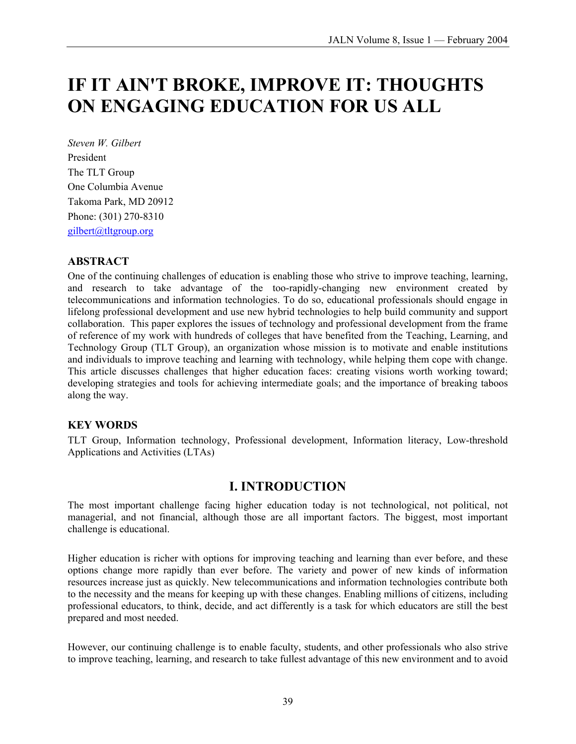# **IF IT AIN'T BROKE, IMPROVE IT: THOUGHTS ON ENGAGING EDUCATION FOR US ALL**

*Steven W. Gilbert*  President The TLT Group One Columbia Avenue Takoma Park, MD 20912 Phone: (301) 270-8310 gilbert@tltgroup.org

### **ABSTRACT**

One of the continuing challenges of education is enabling those who strive to improve teaching, learning, and research to take advantage of the too-rapidly-changing new environment created by telecommunications and information technologies. To do so, educational professionals should engage in lifelong professional development and use new hybrid technologies to help build community and support collaboration. This paper explores the issues of technology and professional development from the frame of reference of my work with hundreds of colleges that have benefited from the Teaching, Learning, and Technology Group (TLT Group), an organization whose mission is to motivate and enable institutions and individuals to improve teaching and learning with technology, while helping them cope with change. This article discusses challenges that higher education faces: creating visions worth working toward; developing strategies and tools for achieving intermediate goals; and the importance of breaking taboos along the way.

### **KEY WORDS**

TLT Group, Information technology, Professional development, Information literacy, Low-threshold Applications and Activities (LTAs)

### **I. INTRODUCTION**

The most important challenge facing higher education today is not technological, not political, not managerial, and not financial, although those are all important factors. The biggest, most important challenge is educational.

Higher education is richer with options for improving teaching and learning than ever before, and these options change more rapidly than ever before. The variety and power of new kinds of information resources increase just as quickly. New telecommunications and information technologies contribute both to the necessity and the means for keeping up with these changes. Enabling millions of citizens, including professional educators, to think, decide, and act differently is a task for which educators are still the best prepared and most needed.

However, our continuing challenge is to enable faculty, students, and other professionals who also strive to improve teaching, learning, and research to take fullest advantage of this new environment and to avoid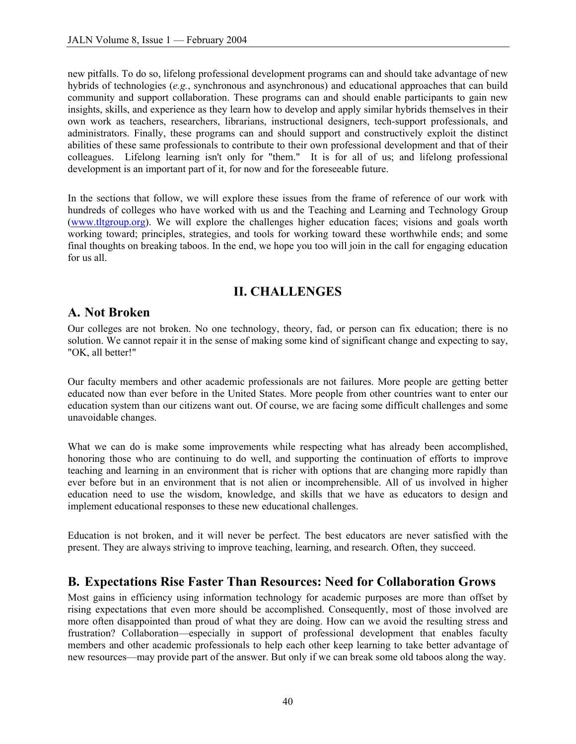new pitfalls. To do so, lifelong professional development programs can and should take advantage of new hybrids of technologies (*e.g.*, synchronous and asynchronous) and educational approaches that can build community and support collaboration. These programs can and should enable participants to gain new insights, skills, and experience as they learn how to develop and apply similar hybrids themselves in their own work as teachers, researchers, librarians, instructional designers, tech-support professionals, and administrators. Finally, these programs can and should support and constructively exploit the distinct abilities of these same professionals to contribute to their own professional development and that of their colleagues. Lifelong learning isn't only for "them." It is for all of us; and lifelong professional development is an important part of it, for now and for the foreseeable future.

In the sections that follow, we will explore these issues from the frame of reference of our work with hundreds of colleges who have worked with us and the Teaching and Learning and Technology Group (www.tltgroup.org). We will explore the challenges higher education faces; visions and goals worth working toward; principles, strategies, and tools for working toward these worthwhile ends; and some final thoughts on breaking taboos. In the end, we hope you too will join in the call for engaging education for us all.

# **II. CHALLENGES**

### **A. Not Broken**

Our colleges are not broken. No one technology, theory, fad, or person can fix education; there is no solution. We cannot repair it in the sense of making some kind of significant change and expecting to say, "OK, all better!"

Our faculty members and other academic professionals are not failures. More people are getting better educated now than ever before in the United States. More people from other countries want to enter our education system than our citizens want out. Of course, we are facing some difficult challenges and some unavoidable changes.

What we can do is make some improvements while respecting what has already been accomplished, honoring those who are continuing to do well, and supporting the continuation of efforts to improve teaching and learning in an environment that is richer with options that are changing more rapidly than ever before but in an environment that is not alien or incomprehensible. All of us involved in higher education need to use the wisdom, knowledge, and skills that we have as educators to design and implement educational responses to these new educational challenges.

Education is not broken, and it will never be perfect. The best educators are never satisfied with the present. They are always striving to improve teaching, learning, and research. Often, they succeed.

### **B. Expectations Rise Faster Than Resources: Need for Collaboration Grows**

Most gains in efficiency using information technology for academic purposes are more than offset by rising expectations that even more should be accomplished. Consequently, most of those involved are more often disappointed than proud of what they are doing. How can we avoid the resulting stress and frustration? Collaboration—especially in support of professional development that enables faculty members and other academic professionals to help each other keep learning to take better advantage of new resources—may provide part of the answer. But only if we can break some old taboos along the way.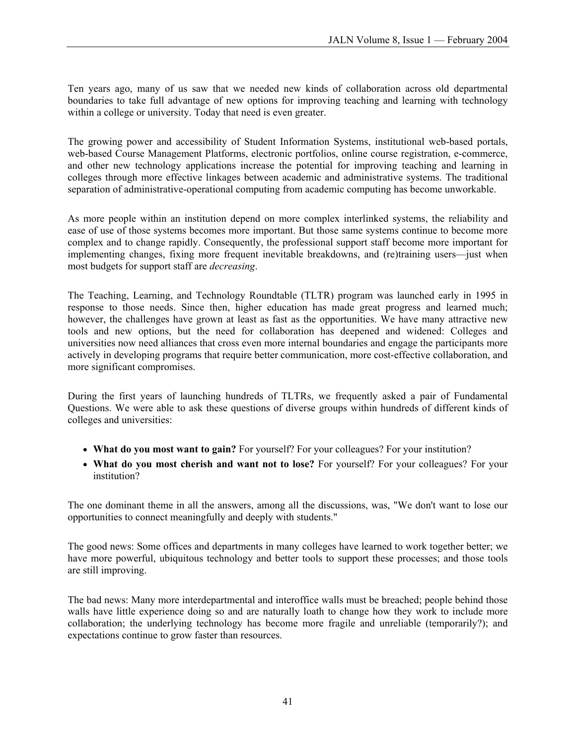Ten years ago, many of us saw that we needed new kinds of collaboration across old departmental boundaries to take full advantage of new options for improving teaching and learning with technology within a college or university. Today that need is even greater.

The growing power and accessibility of Student Information Systems, institutional web-based portals, web-based Course Management Platforms, electronic portfolios, online course registration, e-commerce, and other new technology applications increase the potential for improving teaching and learning in colleges through more effective linkages between academic and administrative systems. The traditional separation of administrative-operational computing from academic computing has become unworkable.

As more people within an institution depend on more complex interlinked systems, the reliability and ease of use of those systems becomes more important. But those same systems continue to become more complex and to change rapidly. Consequently, the professional support staff become more important for implementing changes, fixing more frequent inevitable breakdowns, and (re)training users—just when most budgets for support staff are *decreasing*.

The Teaching, Learning, and Technology Roundtable (TLTR) program was launched early in 1995 in response to those needs. Since then, higher education has made great progress and learned much; however, the challenges have grown at least as fast as the opportunities. We have many attractive new tools and new options, but the need for collaboration has deepened and widened: Colleges and universities now need alliances that cross even more internal boundaries and engage the participants more actively in developing programs that require better communication, more cost-effective collaboration, and more significant compromises.

During the first years of launching hundreds of TLTRs, we frequently asked a pair of Fundamental Questions. We were able to ask these questions of diverse groups within hundreds of different kinds of colleges and universities:

- **What do you most want to gain?** For yourself? For your colleagues? For your institution?
- **What do you most cherish and want not to lose?** For yourself? For your colleagues? For your institution?

The one dominant theme in all the answers, among all the discussions, was, "We don't want to lose our opportunities to connect meaningfully and deeply with students."

The good news: Some offices and departments in many colleges have learned to work together better; we have more powerful, ubiquitous technology and better tools to support these processes; and those tools are still improving.

The bad news: Many more interdepartmental and interoffice walls must be breached; people behind those walls have little experience doing so and are naturally loath to change how they work to include more collaboration; the underlying technology has become more fragile and unreliable (temporarily?); and expectations continue to grow faster than resources.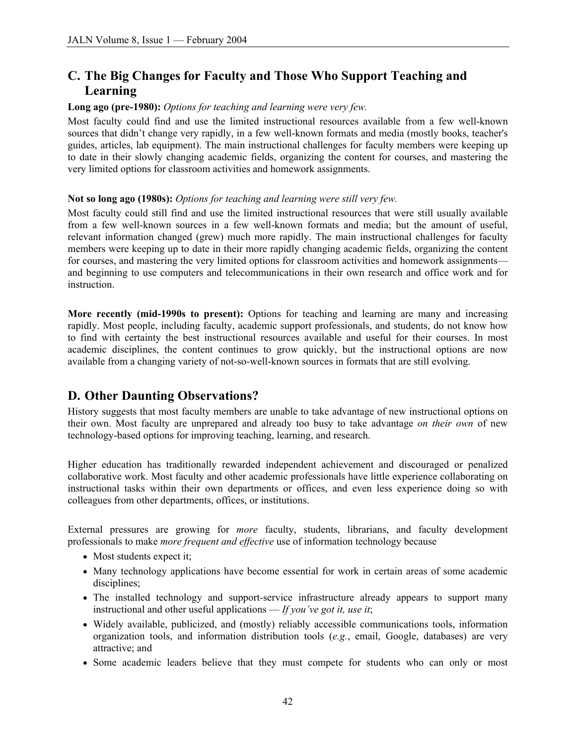# **C. The Big Changes for Faculty and Those Who Support Teaching and Learning**

#### **Long ago (pre-1980):** *Options for teaching and learning were very few.*

Most faculty could find and use the limited instructional resources available from a few well-known sources that didn't change very rapidly, in a few well-known formats and media (mostly books, teacher's guides, articles, lab equipment). The main instructional challenges for faculty members were keeping up to date in their slowly changing academic fields, organizing the content for courses, and mastering the very limited options for classroom activities and homework assignments.

#### **Not so long ago (1980s):** *Options for teaching and learning were still very few.*

Most faculty could still find and use the limited instructional resources that were still usually available from a few well-known sources in a few well-known formats and media; but the amount of useful, relevant information changed (grew) much more rapidly. The main instructional challenges for faculty members were keeping up to date in their more rapidly changing academic fields, organizing the content for courses, and mastering the very limited options for classroom activities and homework assignments and beginning to use computers and telecommunications in their own research and office work and for instruction.

**More recently (mid-1990s to present):** Options for teaching and learning are many and increasing rapidly. Most people, including faculty, academic support professionals, and students, do not know how to find with certainty the best instructional resources available and useful for their courses. In most academic disciplines, the content continues to grow quickly, but the instructional options are now available from a changing variety of not-so-well-known sources in formats that are still evolving.

### **D. Other Daunting Observations?**

History suggests that most faculty members are unable to take advantage of new instructional options on their own. Most faculty are unprepared and already too busy to take advantage *on their own* of new technology-based options for improving teaching, learning, and research.

Higher education has traditionally rewarded independent achievement and discouraged or penalized collaborative work. Most faculty and other academic professionals have little experience collaborating on instructional tasks within their own departments or offices, and even less experience doing so with colleagues from other departments, offices, or institutions.

External pressures are growing for *more* faculty, students, librarians, and faculty development professionals to make *more frequent and effective* use of information technology because

- Most students expect it;
- Many technology applications have become essential for work in certain areas of some academic disciplines;
- The installed technology and support-service infrastructure already appears to support many instructional and other useful applications — *If you've got it, use it*;
- Widely available, publicized, and (mostly) reliably accessible communications tools, information organization tools, and information distribution tools (*e.g.*, email, Google, databases) are very attractive; and
- Some academic leaders believe that they must compete for students who can only or most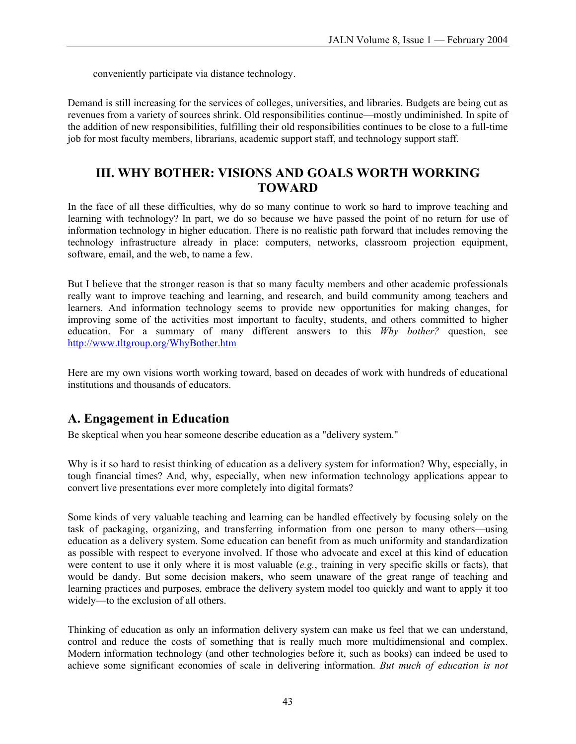conveniently participate via distance technology.

Demand is still increasing for the services of colleges, universities, and libraries. Budgets are being cut as revenues from a variety of sources shrink. Old responsibilities continue—mostly undiminished. In spite of the addition of new responsibilities, fulfilling their old responsibilities continues to be close to a full-time job for most faculty members, librarians, academic support staff, and technology support staff.

### **III. WHY BOTHER: VISIONS AND GOALS WORTH WORKING TOWARD**

In the face of all these difficulties, why do so many continue to work so hard to improve teaching and learning with technology? In part, we do so because we have passed the point of no return for use of information technology in higher education. There is no realistic path forward that includes removing the technology infrastructure already in place: computers, networks, classroom projection equipment, software, email, and the web, to name a few.

But I believe that the stronger reason is that so many faculty members and other academic professionals really want to improve teaching and learning, and research, and build community among teachers and learners. And information technology seems to provide new opportunities for making changes, for improving some of the activities most important to faculty, students, and others committed to higher education. For a summary of many different answers to this *Why bother?* question, see <http://www.tltgroup.org/WhyBother.htm>

Here are my own visions worth working toward, based on decades of work with hundreds of educational institutions and thousands of educators.

# **A. Engagement in Education**

Be skeptical when you hear someone describe education as a "delivery system."

Why is it so hard to resist thinking of education as a delivery system for information? Why, especially, in tough financial times? And, why, especially, when new information technology applications appear to convert live presentations ever more completely into digital formats?

Some kinds of very valuable teaching and learning can be handled effectively by focusing solely on the task of packaging, organizing, and transferring information from one person to many others—using education as a delivery system. Some education can benefit from as much uniformity and standardization as possible with respect to everyone involved. If those who advocate and excel at this kind of education were content to use it only where it is most valuable (*e.g.*, training in very specific skills or facts), that would be dandy. But some decision makers, who seem unaware of the great range of teaching and learning practices and purposes, embrace the delivery system model too quickly and want to apply it too widely—to the exclusion of all others.

Thinking of education as only an information delivery system can make us feel that we can understand, control and reduce the costs of something that is really much more multidimensional and complex. Modern information technology (and other technologies before it, such as books) can indeed be used to achieve some significant economies of scale in delivering information. *But much of education is not*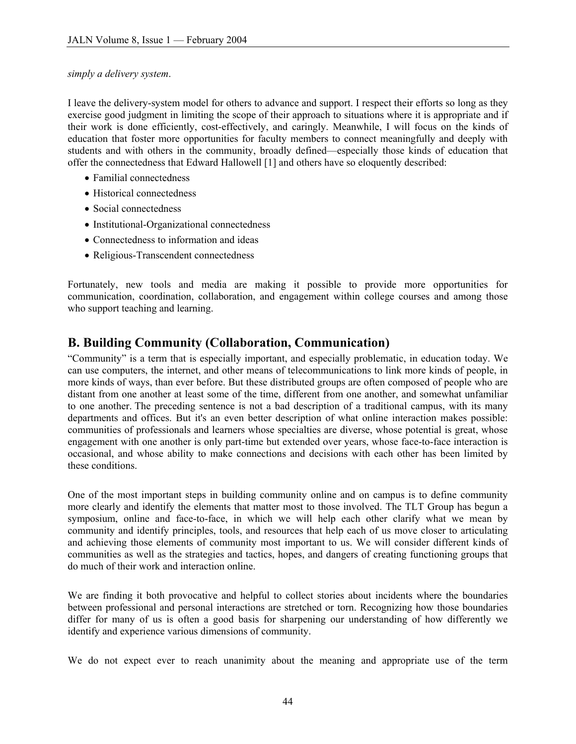*simply a delivery system*.

I leave the delivery-system model for others to advance and support. I respect their efforts so long as they exercise good judgment in limiting the scope of their approach to situations where it is appropriate and if their work is done efficiently, cost-effectively, and caringly. Meanwhile, I will focus on the kinds of education that foster more opportunities for faculty members to connect meaningfully and deeply with students and with others in the community, broadly defined—especially those kinds of education that offer the connectedness that Edward Hallowell [1] and others have so eloquently described:

- Familial connectedness
- Historical connectedness
- Social connectedness
- Institutional-Organizational connectedness
- Connectedness to information and ideas
- Religious-Transcendent connectedness

Fortunately, new tools and media are making it possible to provide more opportunities for communication, coordination, collaboration, and engagement within college courses and among those who support teaching and learning.

### **B. Building Community (Collaboration, Communication)**

"Community" is a term that is especially important, and especially problematic, in education today. We can use computers, the internet, and other means of telecommunications to link more kinds of people, in more kinds of ways, than ever before. But these distributed groups are often composed of people who are distant from one another at least some of the time, different from one another, and somewhat unfamiliar to one another. The preceding sentence is not a bad description of a traditional campus, with its many departments and offices. But it's an even better description of what online interaction makes possible: communities of professionals and learners whose specialties are diverse, whose potential is great, whose engagement with one another is only part-time but extended over years, whose face-to-face interaction is occasional, and whose ability to make connections and decisions with each other has been limited by these conditions.

One of the most important steps in building community online and on campus is to define community more clearly and identify the elements that matter most to those involved. The TLT Group has begun a symposium, online and face-to-face, in which we will help each other clarify what we mean by community and identify principles, tools, and resources that help each of us move closer to articulating and achieving those elements of community most important to us. We will consider different kinds of communities as well as the strategies and tactics, hopes, and dangers of creating functioning groups that do much of their work and interaction online.

We are finding it both provocative and helpful to collect stories about incidents where the boundaries between professional and personal interactions are stretched or torn. Recognizing how those boundaries differ for many of us is often a good basis for sharpening our understanding of how differently we identify and experience various dimensions of community.

We do not expect ever to reach unanimity about the meaning and appropriate use of the term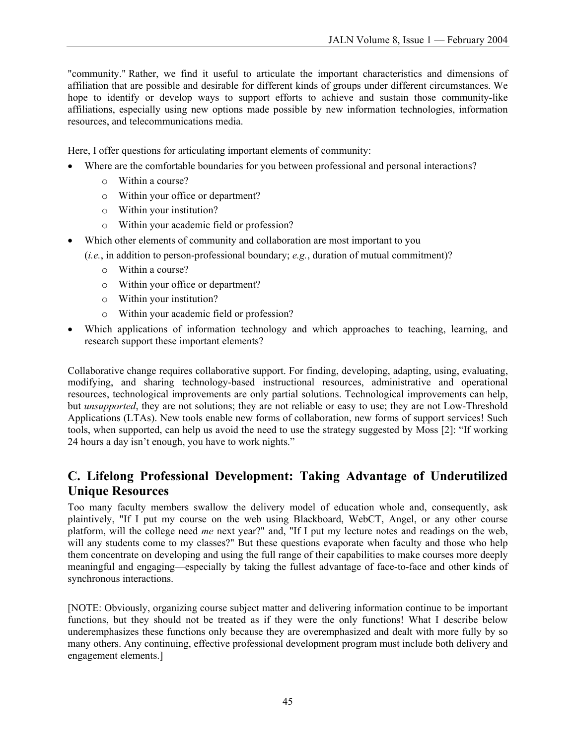"community." Rather, we find it useful to articulate the important characteristics and dimensions of affiliation that are possible and desirable for different kinds of groups under different circumstances. We hope to identify or develop ways to support efforts to achieve and sustain those community-like affiliations, especially using new options made possible by new information technologies, information resources, and telecommunications media.

Here, I offer questions for articulating important elements of community:

- Where are the comfortable boundaries for you between professional and personal interactions?
	- o Within a course?
	- o Within your office or department?
	- o Within your institution?
	- o Within your academic field or profession?
- Which other elements of community and collaboration are most important to you
	- (*i.e.*, in addition to person-professional boundary; *e.g.*, duration of mutual commitment)?
		- o Within a course?
		- o Within your office or department?
		- o Within your institution?
		- o Within your academic field or profession?
- Which applications of information technology and which approaches to teaching, learning, and research support these important elements?

Collaborative change requires collaborative support. For finding, developing, adapting, using, evaluating, modifying, and sharing technology-based instructional resources, administrative and operational resources, technological improvements are only partial solutions. Technological improvements can help, but *unsupported*, they are not solutions; they are not reliable or easy to use; they are not Low-Threshold Applications (LTAs). New tools enable new forms of collaboration, new forms of support services! Such tools, when supported, can help us avoid the need to use the strategy suggested by Moss [2]: "If working 24 hours a day isn't enough, you have to work nights."

### **C. Lifelong Professional Development: Taking Advantage of Underutilized Unique Resources**

Too many faculty members swallow the delivery model of education whole and, consequently, ask plaintively, "If I put my course on the web using Blackboard, WebCT, Angel, or any other course platform, will the college need *me* next year?" and, "If I put my lecture notes and readings on the web, will any students come to my classes?" But these questions evaporate when faculty and those who help them concentrate on developing and using the full range of their capabilities to make courses more deeply meaningful and engaging—especially by taking the fullest advantage of face-to-face and other kinds of synchronous interactions.

[NOTE: Obviously, organizing course subject matter and delivering information continue to be important functions, but they should not be treated as if they were the only functions! What I describe below underemphasizes these functions only because they are overemphasized and dealt with more fully by so many others. Any continuing, effective professional development program must include both delivery and engagement elements.]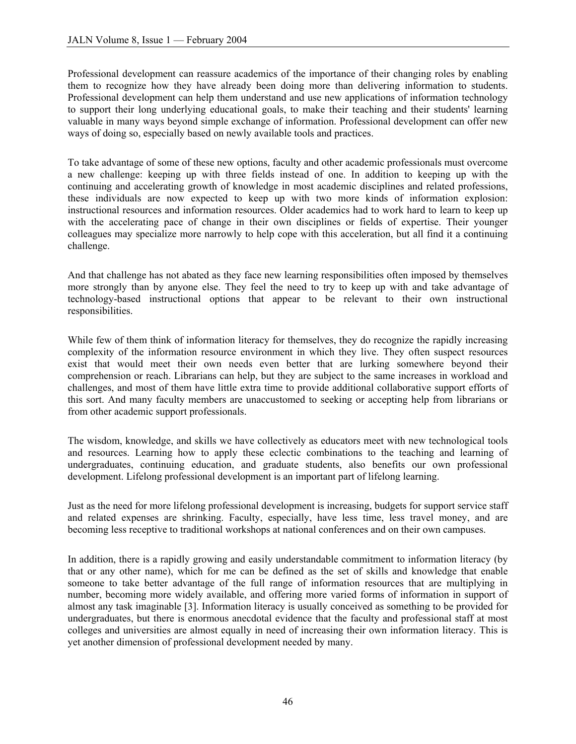Professional development can reassure academics of the importance of their changing roles by enabling them to recognize how they have already been doing more than delivering information to students. Professional development can help them understand and use new applications of information technology to support their long underlying educational goals, to make their teaching and their students' learning valuable in many ways beyond simple exchange of information. Professional development can offer new ways of doing so, especially based on newly available tools and practices.

To take advantage of some of these new options, faculty and other academic professionals must overcome a new challenge: keeping up with three fields instead of one. In addition to keeping up with the continuing and accelerating growth of knowledge in most academic disciplines and related professions, these individuals are now expected to keep up with two more kinds of information explosion: instructional resources and information resources. Older academics had to work hard to learn to keep up with the accelerating pace of change in their own disciplines or fields of expertise. Their younger colleagues may specialize more narrowly to help cope with this acceleration, but all find it a continuing challenge.

And that challenge has not abated as they face new learning responsibilities often imposed by themselves more strongly than by anyone else. They feel the need to try to keep up with and take advantage of technology-based instructional options that appear to be relevant to their own instructional responsibilities.

While few of them think of information literacy for themselves, they do recognize the rapidly increasing complexity of the information resource environment in which they live. They often suspect resources exist that would meet their own needs even better that are lurking somewhere beyond their comprehension or reach. Librarians can help, but they are subject to the same increases in workload and challenges, and most of them have little extra time to provide additional collaborative support efforts of this sort. And many faculty members are unaccustomed to seeking or accepting help from librarians or from other academic support professionals.

The wisdom, knowledge, and skills we have collectively as educators meet with new technological tools and resources. Learning how to apply these eclectic combinations to the teaching and learning of undergraduates, continuing education, and graduate students, also benefits our own professional development. Lifelong professional development is an important part of lifelong learning.

Just as the need for more lifelong professional development is increasing, budgets for support service staff and related expenses are shrinking. Faculty, especially, have less time, less travel money, and are becoming less receptive to traditional workshops at national conferences and on their own campuses.

In addition, there is a rapidly growing and easily understandable commitment to information literacy (by that or any other name), which for me can be defined as the set of skills and knowledge that enable someone to take better advantage of the full range of information resources that are multiplying in number, becoming more widely available, and offering more varied forms of information in support of almost any task imaginable [3]. Information literacy is usually conceived as something to be provided for undergraduates, but there is enormous anecdotal evidence that the faculty and professional staff at most colleges and universities are almost equally in need of increasing their own information literacy. This is yet another dimension of professional development needed by many.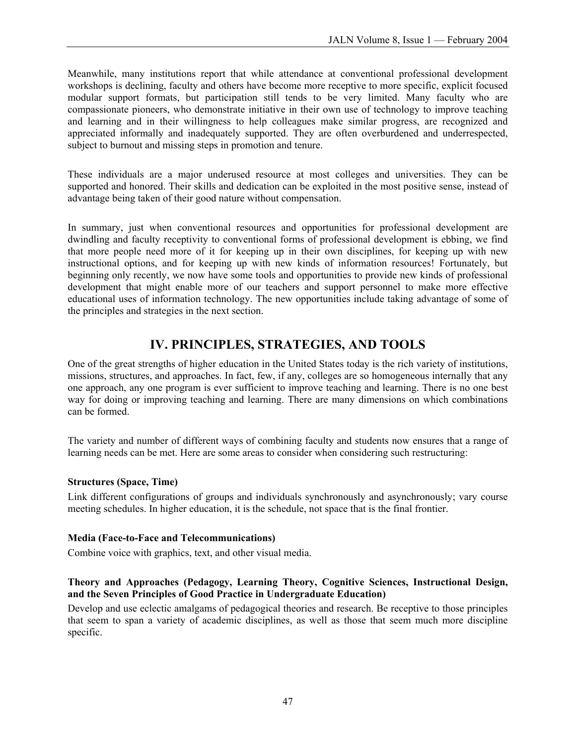Meanwhile, many institutions report that while attendance at conventional professional development workshops is declining, faculty and others have become more receptive to more specific, explicit focused modular support formats, but participation still tends to be very limited. Many faculty who are compassionate pioneers, who demonstrate initiative in their own use of technology to improve teaching and learning and in their willingness to help colleagues make similar progress, are recognized and appreciated informally and inadequately supported. They are often overburdened and underrespected, subject to burnout and missing steps in promotion and tenure.

These individuals are a major underused resource at most colleges and universities. They can be supported and honored. Their skills and dedication can be exploited in the most positive sense, instead of advantage being taken of their good nature without compensation.

In summary, just when conventional resources and opportunities for professional development are dwindling and faculty receptivity to conventional forms of professional development is ebbing, we find that more people need more of it for keeping up in their own disciplines, for keeping up with new instructional options, and for keeping up with new kinds of information resources! Fortunately, but beginning only recently, we now have some tools and opportunities to provide new kinds of professional development that might enable more of our teachers and support personnel to make more effective educational uses of information technology. The new opportunities include taking advantage of some of the principles and strategies in the next section.

# **IV. PRINCIPLES, STRATEGIES, AND TOOLS**

One of the great strengths of higher education in the United States today is the rich variety of institutions, missions, structures, and approaches. In fact, few, if any, colleges are so homogeneous internally that any one approach, any one program is ever sufficient to improve teaching and learning. There is no one best way for doing or improving teaching and learning. There are many dimensions on which combinations can be formed.

The variety and number of different ways of combining faculty and students now ensures that a range of learning needs can be met. Here are some areas to consider when considering such restructuring:

#### **Structures (Space, Time)**

Link different configurations of groups and individuals synchronously and asynchronously; vary course meeting schedules. In higher education, it is the schedule, not space that is the final frontier.

#### **Media (Face-to-Face and Telecommunications)**

Combine voice with graphics, text, and other visual media.

#### **Theory and Approaches (Pedagogy, Learning Theory, Cognitive Sciences, Instructional Design, and the Seven Principles of Good Practice in Undergraduate Education)**

Develop and use eclectic amalgams of pedagogical theories and research. Be receptive to those principles that seem to span a variety of academic disciplines, as well as those that seem much more discipline specific.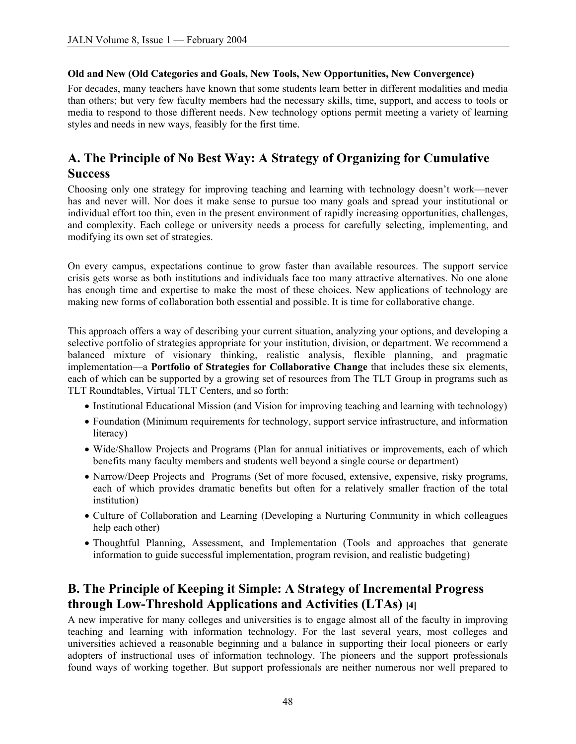#### **Old and New (Old Categories and Goals, New Tools, New Opportunities, New Convergence)**

For decades, many teachers have known that some students learn better in different modalities and media than others; but very few faculty members had the necessary skills, time, support, and access to tools or media to respond to those different needs. New technology options permit meeting a variety of learning styles and needs in new ways, feasibly for the first time.

### **A. The Principle of No Best Way: A Strategy of Organizing for Cumulative Success**

Choosing only one strategy for improving teaching and learning with technology doesn't work—never has and never will. Nor does it make sense to pursue too many goals and spread your institutional or individual effort too thin, even in the present environment of rapidly increasing opportunities, challenges, and complexity. Each college or university needs a process for carefully selecting, implementing, and modifying its own set of strategies.

On every campus, expectations continue to grow faster than available resources. The support service crisis gets worse as both institutions and individuals face too many attractive alternatives. No one alone has enough time and expertise to make the most of these choices. New applications of technology are making new forms of collaboration both essential and possible. It is time for collaborative change.

This approach offers a way of describing your current situation, analyzing your options, and developing a selective portfolio of strategies appropriate for your institution, division, or department. We recommend a balanced mixture of visionary thinking, realistic analysis, flexible planning, and pragmatic implementation—a **Portfolio of Strategies for Collaborative Change** that includes these six elements, each of which can be supported by a growing set of resources from The TLT Group in programs such as TLT Roundtables, Virtual TLT Centers, and so forth:

- Institutional Educational Mission (and Vision for improving teaching and learning with technology)
- Foundation (Minimum requirements for technology, support service infrastructure, and information literacy)
- Wide/Shallow Projects and Programs (Plan for annual initiatives or improvements, each of which benefits many faculty members and students well beyond a single course or department)
- Narrow/Deep Projects and Programs (Set of more focused, extensive, expensive, risky programs, each of which provides dramatic benefits but often for a relatively smaller fraction of the total institution)
- Culture of Collaboration and Learning (Developing a Nurturing Community in which colleagues help each other)
- Thoughtful Planning, Assessment, and Implementation (Tools and approaches that generate information to guide successful implementation, program revision, and realistic budgeting)

### **B. The Principle of Keeping it Simple: A Strategy of Incremental Progress through Low-Threshold Applications and Activities (LTAs) [4]**

A new imperative for many colleges and universities is to engage almost all of the faculty in improving teaching and learning with information technology. For the last several years, most colleges and universities achieved a reasonable beginning and a balance in supporting their local pioneers or early adopters of instructional uses of information technology. The pioneers and the support professionals found ways of working together. But support professionals are neither numerous nor well prepared to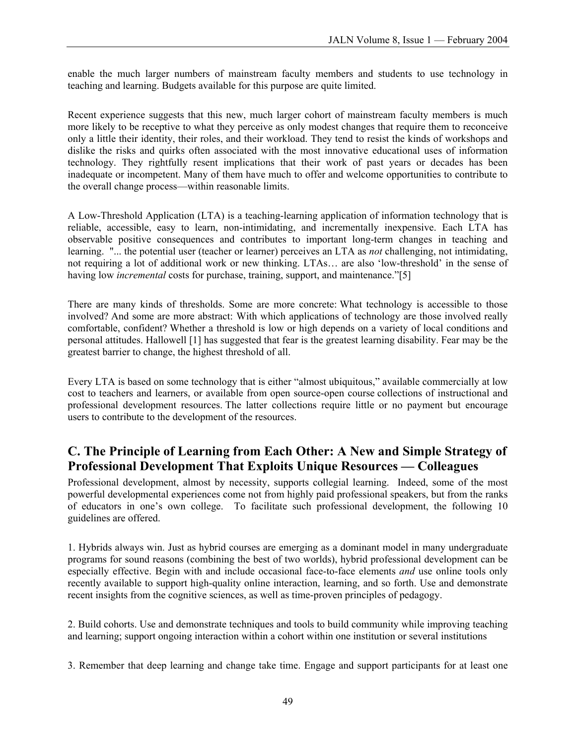enable the much larger numbers of mainstream faculty members and students to use technology in teaching and learning. Budgets available for this purpose are quite limited.

Recent experience suggests that this new, much larger cohort of mainstream faculty members is much more likely to be receptive to what they perceive as only modest changes that require them to reconceive only a little their identity, their roles, and their workload. They tend to resist the kinds of workshops and dislike the risks and quirks often associated with the most innovative educational uses of information technology. They rightfully resent implications that their work of past years or decades has been inadequate or incompetent. Many of them have much to offer and welcome opportunities to contribute to the overall change process—within reasonable limits.

A Low-Threshold Application (LTA) is a teaching-learning application of information technology that is reliable, accessible, easy to learn, non-intimidating, and incrementally inexpensive. Each LTA has observable positive consequences and contributes to important long-term changes in teaching and learning. "... the potential user (teacher or learner) perceives an LTA as *not* challenging, not intimidating, not requiring a lot of additional work or new thinking. LTAs… are also 'low-threshold' in the sense of having low *incremental* costs for purchase, training, support, and maintenance."[5]

There are many kinds of thresholds. Some are more concrete: What technology is accessible to those involved? And some are more abstract: With which applications of technology are those involved really comfortable, confident? Whether a threshold is low or high depends on a variety of local conditions and personal attitudes. Hallowell [1] has suggested that fear is the greatest learning disability. Fear may be the greatest barrier to change, the highest threshold of all.

Every LTA is based on some technology that is either "almost ubiquitous," available commercially at low cost to teachers and learners, or available from open source-open course collections of instructional and professional development resources. The latter collections require little or no payment but encourage users to contribute to the development of the resources.

### **C. The Principle of Learning from Each Other: A New and Simple Strategy of Professional Development That Exploits Unique Resources — Colleagues**

Professional development, almost by necessity, supports collegial learning. Indeed, some of the most powerful developmental experiences come not from highly paid professional speakers, but from the ranks of educators in one's own college. To facilitate such professional development, the following 10 guidelines are offered.

1. Hybrids always win. Just as hybrid courses are emerging as a dominant model in many undergraduate programs for sound reasons (combining the best of two worlds), hybrid professional development can be especially effective. Begin with and include occasional face-to-face elements *and* use online tools only recently available to support high-quality online interaction, learning, and so forth. Use and demonstrate recent insights from the cognitive sciences, as well as time-proven principles of pedagogy.

2. Build cohorts. Use and demonstrate techniques and tools to build community while improving teaching and learning; support ongoing interaction within a cohort within one institution or several institutions

3. Remember that deep learning and change take time. Engage and support participants for at least one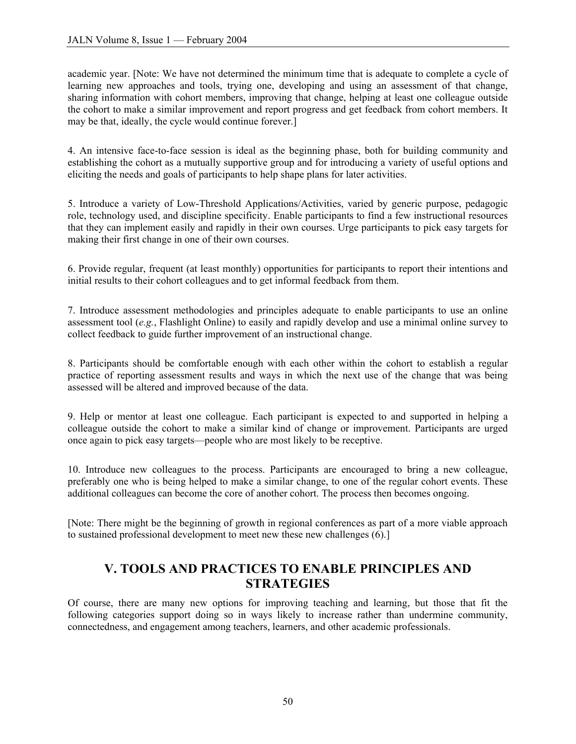academic year. [Note: We have not determined the minimum time that is adequate to complete a cycle of learning new approaches and tools, trying one, developing and using an assessment of that change, sharing information with cohort members, improving that change, helping at least one colleague outside the cohort to make a similar improvement and report progress and get feedback from cohort members. It may be that, ideally, the cycle would continue forever.]

4. An intensive face-to-face session is ideal as the beginning phase, both for building community and establishing the cohort as a mutually supportive group and for introducing a variety of useful options and eliciting the needs and goals of participants to help shape plans for later activities.

5. Introduce a variety of Low-Threshold Applications/Activities, varied by generic purpose, pedagogic role, technology used, and discipline specificity. Enable participants to find a few instructional resources that they can implement easily and rapidly in their own courses. Urge participants to pick easy targets for making their first change in one of their own courses.

6. Provide regular, frequent (at least monthly) opportunities for participants to report their intentions and initial results to their cohort colleagues and to get informal feedback from them.

7. Introduce assessment methodologies and principles adequate to enable participants to use an online assessment tool (*e.g.*, Flashlight Online) to easily and rapidly develop and use a minimal online survey to collect feedback to guide further improvement of an instructional change.

8. Participants should be comfortable enough with each other within the cohort to establish a regular practice of reporting assessment results and ways in which the next use of the change that was being assessed will be altered and improved because of the data.

9. Help or mentor at least one colleague. Each participant is expected to and supported in helping a colleague outside the cohort to make a similar kind of change or improvement. Participants are urged once again to pick easy targets—people who are most likely to be receptive.

10. Introduce new colleagues to the process. Participants are encouraged to bring a new colleague, preferably one who is being helped to make a similar change, to one of the regular cohort events. These additional colleagues can become the core of another cohort. The process then becomes ongoing.

[Note: There might be the beginning of growth in regional conferences as part of a more viable approach to sustained professional development to meet new these new challenges (6).]

### **V. TOOLS AND PRACTICES TO ENABLE PRINCIPLES AND STRATEGIES**

Of course, there are many new options for improving teaching and learning, but those that fit the following categories support doing so in ways likely to increase rather than undermine community, connectedness, and engagement among teachers, learners, and other academic professionals.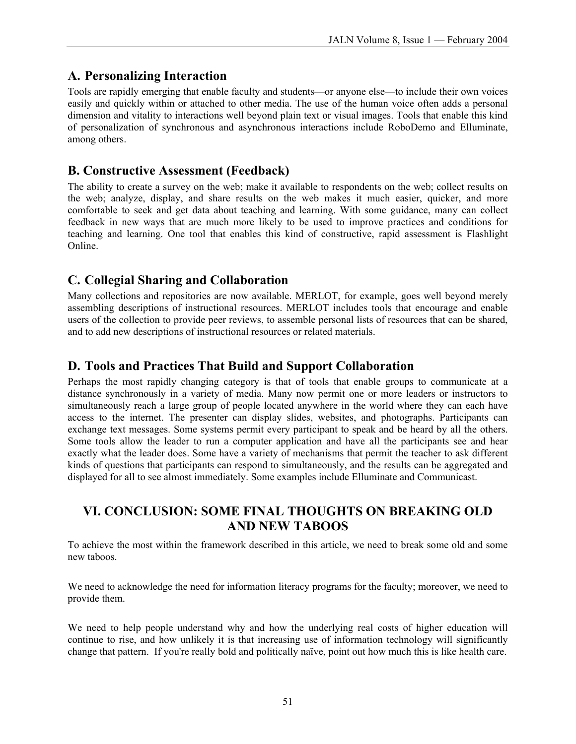# **A. Personalizing Interaction**

Tools are rapidly emerging that enable faculty and students—or anyone else—to include their own voices easily and quickly within or attached to other media. The use of the human voice often adds a personal dimension and vitality to interactions well beyond plain text or visual images. Tools that enable this kind of personalization of synchronous and asynchronous interactions include RoboDemo and Elluminate, among others.

### **B. Constructive Assessment (Feedback)**

The ability to create a survey on the web; make it available to respondents on the web; collect results on the web; analyze, display, and share results on the web makes it much easier, quicker, and more comfortable to seek and get data about teaching and learning. With some guidance, many can collect feedback in new ways that are much more likely to be used to improve practices and conditions for teaching and learning. One tool that enables this kind of constructive, rapid assessment is Flashlight Online.

### **C. Collegial Sharing and Collaboration**

Many collections and repositories are now available. MERLOT, for example, goes well beyond merely assembling descriptions of instructional resources. MERLOT includes tools that encourage and enable users of the collection to provide peer reviews, to assemble personal lists of resources that can be shared, and to add new descriptions of instructional resources or related materials.

## **D. Tools and Practices That Build and Support Collaboration**

Perhaps the most rapidly changing category is that of tools that enable groups to communicate at a distance synchronously in a variety of media. Many now permit one or more leaders or instructors to simultaneously reach a large group of people located anywhere in the world where they can each have access to the internet. The presenter can display slides, websites, and photographs. Participants can exchange text messages. Some systems permit every participant to speak and be heard by all the others. Some tools allow the leader to run a computer application and have all the participants see and hear exactly what the leader does. Some have a variety of mechanisms that permit the teacher to ask different kinds of questions that participants can respond to simultaneously, and the results can be aggregated and displayed for all to see almost immediately. Some examples include Elluminate and Communicast.

### **VI. CONCLUSION: SOME FINAL THOUGHTS ON BREAKING OLD AND NEW TABOOS**

To achieve the most within the framework described in this article, we need to break some old and some new taboos.

We need to acknowledge the need for information literacy programs for the faculty; moreover, we need to provide them.

We need to help people understand why and how the underlying real costs of higher education will continue to rise, and how unlikely it is that increasing use of information technology will significantly change that pattern. If you're really bold and politically naïve, point out how much this is like health care.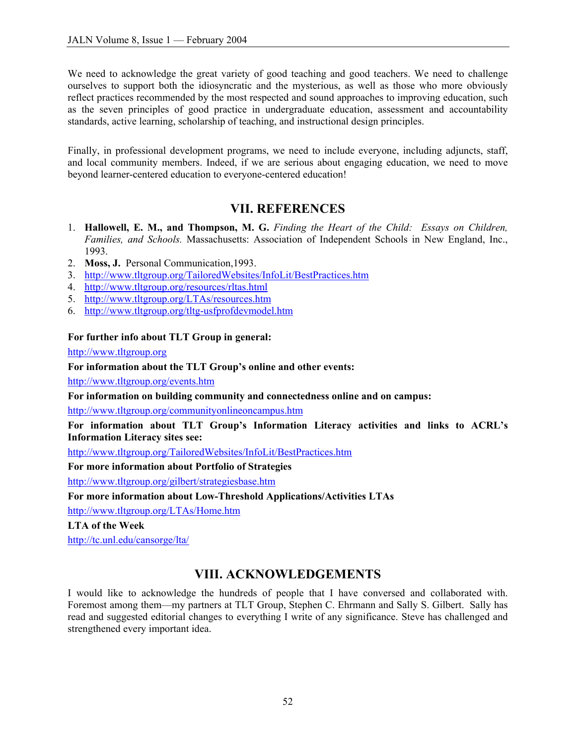We need to acknowledge the great variety of good teaching and good teachers. We need to challenge ourselves to support both the idiosyncratic and the mysterious, as well as those who more obviously reflect practices recommended by the most respected and sound approaches to improving education, such as the seven principles of good practice in undergraduate education, assessment and accountability standards, active learning, scholarship of teaching, and instructional design principles.

Finally, in professional development programs, we need to include everyone, including adjuncts, staff, and local community members. Indeed, if we are serious about engaging education, we need to move beyond learner-centered education to everyone-centered education!

### **VII. REFERENCES**

- 1. **Hallowell, E. M., and Thompson, M. G.** *Finding the Heart of the Child: Essays on Children, Families, and Schools.* Massachusetts: Association of Independent Schools in New England, Inc., 1993.
- 2. **Moss, J.** Personal Communication,1993.
- 3. <http://www.tltgroup.org/TailoredWebsites/InfoLit/BestPractices.htm>
- 4. <http://www.tltgroup.org/resources/rltas.html>
- 5. <http://www.tltgroup.org/LTAs/resources.htm>
- 6. <http://www.tltgroup.org/tltg-usfprofdevmodel.htm>

#### **For further info about TLT Group in general:**

<http://www.tltgroup.org>

#### **For information about the TLT Group's online and other events:**

<http://www.tltgroup.org/events.htm>

**For information on building community and connectedness online and on campus:** 

<http://www.tltgroup.org/communityonlineoncampus.htm>

**For information about TLT Group's Information Literacy activities and links to ACRL's Information Literacy sites see:** 

<http://www.tltgroup.org/TailoredWebsites/InfoLit/BestPractices.htm>

**For more information about Portfolio of Strategies** 

<http://www.tltgroup.org/gilbert/strategiesbase.htm>

**For more information about Low-Threshold Applications/Activities LTAs** 

<http://www.tltgroup.org/LTAs/Home.htm>

**LTA of the Week** 

<http://tc.unl.edu/cansorge/lta/>

### **VIII. ACKNOWLEDGEMENTS**

I would like to acknowledge the hundreds of people that I have conversed and collaborated with. Foremost among them—my partners at TLT Group, Stephen C. Ehrmann and Sally S. Gilbert. Sally has read and suggested editorial changes to everything I write of any significance. Steve has challenged and strengthened every important idea.